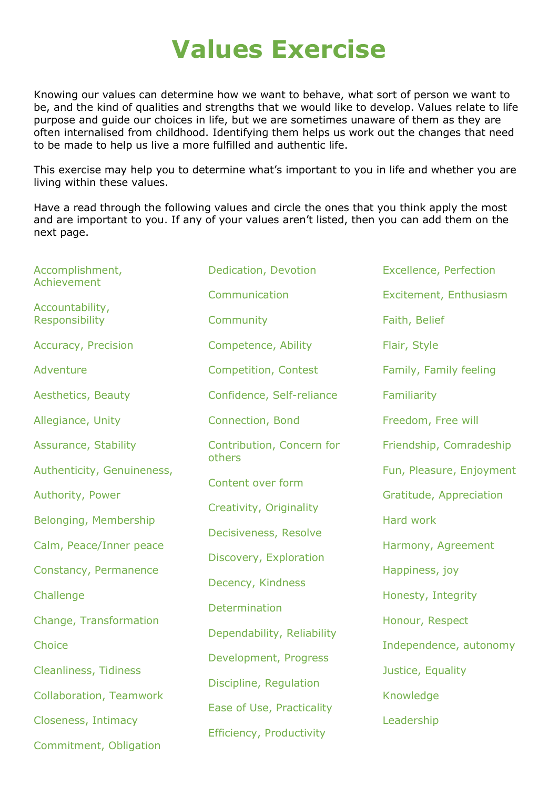## Values Exercise

Knowing our values can determine how we want to behave, what sort of person we want to be, and the kind of qualities and strengths that we would like to develop. Values relate to life purpose and guide our choices in life, but we are sometimes unaware of them as they are often internalised from childhood. Identifying them helps us work out the changes that need to be made to help us live a more fulfilled and authentic life.

This exercise may help you to determine what's important to you in life and whether you are living within these values.

Have a read through the following values and circle the ones that you think apply the most and are important to you. If any of your values aren't listed, then you can add them on the next page.

| Accomplishment,<br>Achievement    | Dedication, Devotion                | <b>Excellence, Perfection</b> |
|-----------------------------------|-------------------------------------|-------------------------------|
|                                   | Communication                       | Excitement, Enthusiasm        |
| Accountability,<br>Responsibility | Community                           | Faith, Belief                 |
| <b>Accuracy, Precision</b>        | Competence, Ability                 | Flair, Style                  |
| Adventure                         | Competition, Contest                | Family, Family feeling        |
| Aesthetics, Beauty                | Confidence, Self-reliance           | Familiarity                   |
| Allegiance, Unity                 | Connection, Bond                    | Freedom, Free will            |
| Assurance, Stability              | Contribution, Concern for<br>others | Friendship, Comradeship       |
| Authenticity, Genuineness,        | Content over form                   | Fun, Pleasure, Enjoyment      |
| Authority, Power                  | Creativity, Originality             | Gratitude, Appreciation       |
| Belonging, Membership             |                                     | <b>Hard work</b>              |
| Calm, Peace/Inner peace           | Decisiveness, Resolve               | Harmony, Agreement            |
| Constancy, Permanence             | Discovery, Exploration              | Happiness, joy                |
| Challenge                         | Decency, Kindness                   | Honesty, Integrity            |
| Change, Transformation            | Determination                       | Honour, Respect               |
| Choice                            | Dependability, Reliability          | Independence, autonomy        |
| <b>Cleanliness, Tidiness</b>      | Development, Progress               | Justice, Equality             |
| <b>Collaboration, Teamwork</b>    | Discipline, Regulation              | Knowledge                     |
| Closeness, Intimacy               | Ease of Use, Practicality           | Leadership                    |
| Commitment, Obligation            | Efficiency, Productivity            |                               |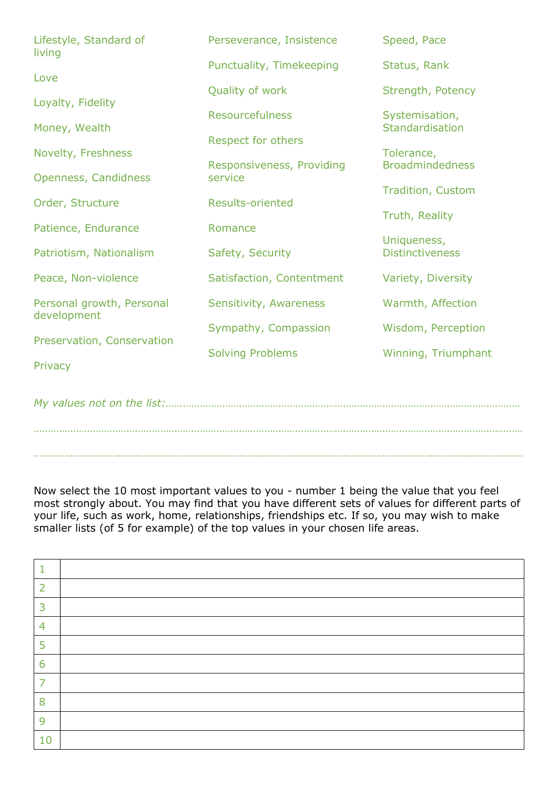| Lifestyle, Standard of<br>living         | Perseverance, Insistence  | Speed, Pace                           |
|------------------------------------------|---------------------------|---------------------------------------|
|                                          | Punctuality, Timekeeping  | Status, Rank                          |
| Love                                     | Quality of work           | Strength, Potency                     |
| Loyalty, Fidelity                        | <b>Resourcefulness</b>    | Systemisation,                        |
| Money, Wealth                            | Respect for others        | Standardisation                       |
| Novelty, Freshness                       | Responsiveness, Providing | Tolerance,<br><b>Broadmindedness</b>  |
| Openness, Candidness                     | service                   |                                       |
| Order, Structure                         | <b>Results-oriented</b>   | <b>Tradition, Custom</b>              |
| Patience, Endurance                      | Romance                   | Truth, Reality                        |
| Patriotism, Nationalism                  | Safety, Security          | Uniqueness,<br><b>Distinctiveness</b> |
| Peace, Non-violence                      | Satisfaction, Contentment | Variety, Diversity                    |
| Personal growth, Personal<br>development | Sensitivity, Awareness    | Warmth, Affection                     |
| Preservation, Conservation               | Sympathy, Compassion      | Wisdom, Perception                    |
|                                          | <b>Solving Problems</b>   | Winning, Triumphant                   |
| Privacy                                  |                           |                                       |
|                                          |                           |                                       |

………………………………………………………………………………………………………………………………………………………… …………………………………………………………………………………………………………………………………………………………

Now select the 10 most important values to you - number 1 being the value that you feel most strongly about. You may find that you have different sets of values for different parts of your life, such as work, home, relationships, friendships etc. If so, you may wish to make smaller lists (of 5 for example) of the top values in your chosen life areas.

| 2  |  |
|----|--|
| 3  |  |
| 4  |  |
| 5  |  |
| 6  |  |
| 7  |  |
| 8  |  |
| 9  |  |
| 10 |  |